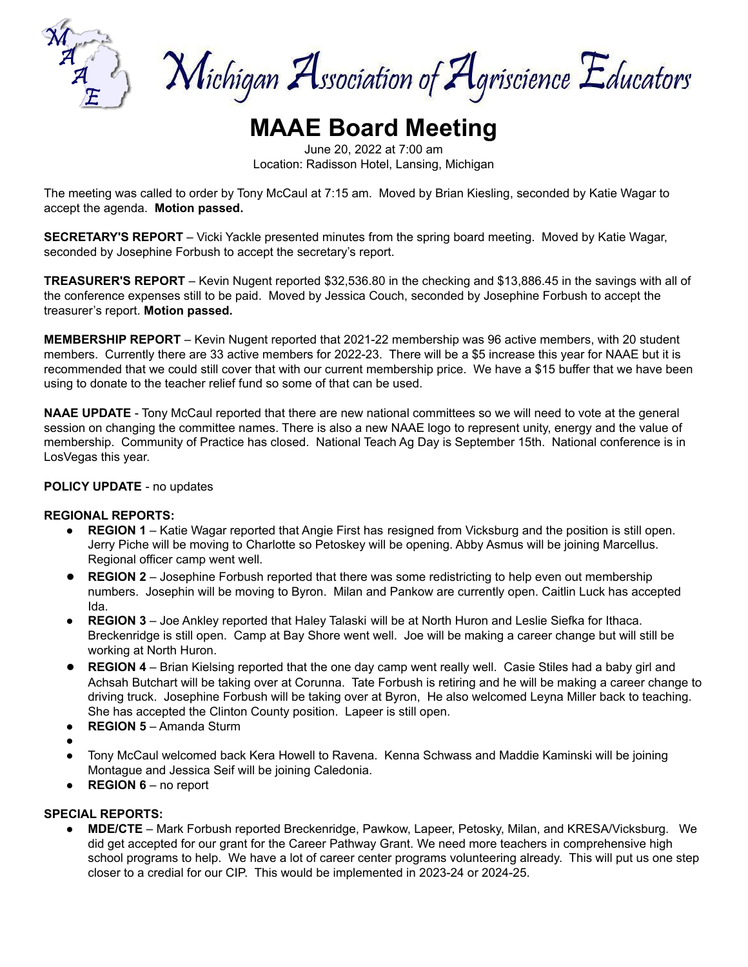

Michigan Association of Agriscience Educators

# **MAAE Board Meeting**

June 20, 2022 at 7:00 am Location: Radisson Hotel, Lansing, Michigan

The meeting was called to order by Tony McCaul at 7:15 am. Moved by Brian Kiesling, seconded by Katie Wagar to accept the agenda. **Motion passed.**

**SECRETARY'S REPORT** – Vicki Yackle presented minutes from the spring board meeting. Moved by Katie Wagar, seconded by Josephine Forbush to accept the secretary's report.

**TREASURER'S REPORT** – Kevin Nugent reported \$32,536.80 in the checking and \$13,886.45 in the savings with all of the conference expenses still to be paid. Moved by Jessica Couch, seconded by Josephine Forbush to accept the treasurer's report. **Motion passed.**

**MEMBERSHIP REPORT** – Kevin Nugent reported that 2021-22 membership was 96 active members, with 20 student members. Currently there are 33 active members for 2022-23. There will be a \$5 increase this year for NAAE but it is recommended that we could still cover that with our current membership price. We have a \$15 buffer that we have been using to donate to the teacher relief fund so some of that can be used.

**NAAE UPDATE** - Tony McCaul reported that there are new national committees so we will need to vote at the general session on changing the committee names. There is also a new NAAE logo to represent unity, energy and the value of membership. Community of Practice has closed. National Teach Ag Day is September 15th. National conference is in LosVegas this year.

## **POLICY UPDATE** - no updates

## **REGIONAL REPORTS:**

- **REGION 1** Katie Wagar reported that Angie First has resigned from Vicksburg and the position is still open. Jerry Piche will be moving to Charlotte so Petoskey will be opening. Abby Asmus will be joining Marcellus. Regional officer camp went well.
- **REGION 2** Josephine Forbush reported that there was some redistricting to help even out membership numbers. Josephin will be moving to Byron. Milan and Pankow are currently open. Caitlin Luck has accepted Ida.
- **REGION 3** Joe Ankley reported that Haley Talaski will be at North Huron and Leslie Siefka for Ithaca. Breckenridge is still open. Camp at Bay Shore went well. Joe will be making a career change but will still be working at North Huron.
- **REGION 4** Brian Kielsing reported that the one day camp went really well. Casie Stiles had a baby girl and Achsah Butchart will be taking over at Corunna. Tate Forbush is retiring and he will be making a career change to driving truck. Josephine Forbush will be taking over at Byron, He also welcomed Leyna Miller back to teaching. She has accepted the Clinton County position. Lapeer is still open.
- **REGION 5** Amanda Sturm
- ●
- Tony McCaul welcomed back Kera Howell to Ravena. Kenna Schwass and Maddie Kaminski will be joining Montague and Jessica Seif will be joining Caledonia.
- **REGION 6** no report

# **SPECIAL REPORTS:**

● **MDE/CTE** – Mark Forbush reported Breckenridge, Pawkow, Lapeer, Petosky, Milan, and KRESA/Vicksburg. We did get accepted for our grant for the Career Pathway Grant. We need more teachers in comprehensive high school programs to help. We have a lot of career center programs volunteering already. This will put us one step closer to a credial for our CIP. This would be implemented in 2023-24 or 2024-25.